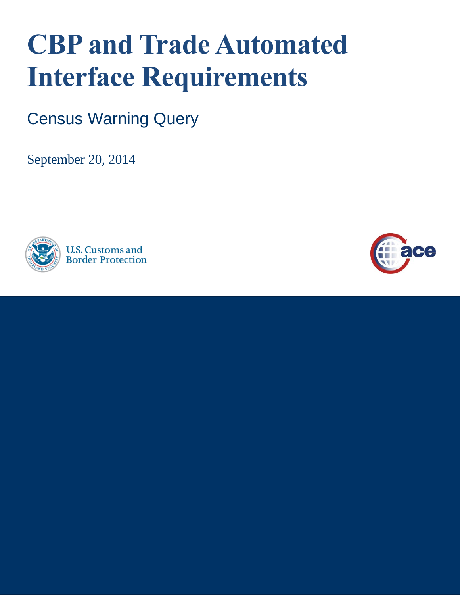# **CBP and Trade Automated Interface Requirements**

Census Warning Query

September 20, 2014



**U.S. Customs and Border Protection** 

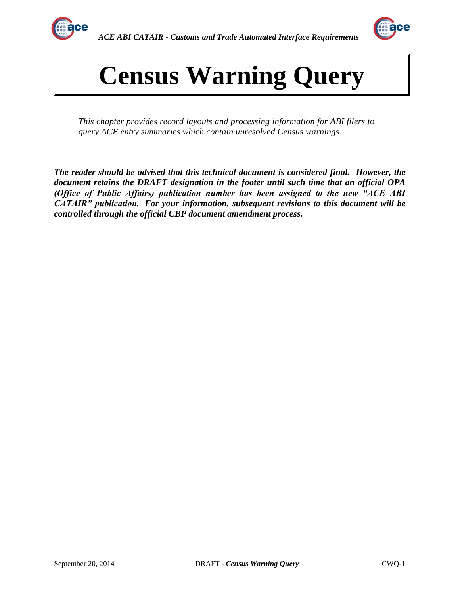



# **Census Warning Query**

*This chapter provides record layouts and processing information for ABI filers to query ACE entry summaries which contain unresolved Census warnings.*

*The reader should be advised that this technical document is considered final. However, the document retains the DRAFT designation in the footer until such time that an official OPA (Office of Public Affairs) publication number has been assigned to the new "ACE ABI CATAIR" publication. For your information, subsequent revisions to this document will be controlled through the official CBP document amendment process.*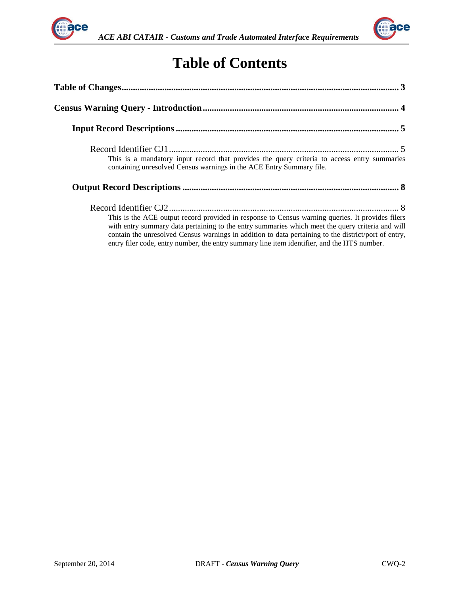



## **Table of Contents**

| This is a mandatory input record that provides the query criteria to access entry summaries<br>containing unresolved Census warnings in the ACE Entry Summary file.                                                                                                                                                                                                                                         |  |
|-------------------------------------------------------------------------------------------------------------------------------------------------------------------------------------------------------------------------------------------------------------------------------------------------------------------------------------------------------------------------------------------------------------|--|
|                                                                                                                                                                                                                                                                                                                                                                                                             |  |
| This is the ACE output record provided in response to Census warning queries. It provides filers<br>with entry summary data pertaining to the entry summaries which meet the query criteria and will<br>contain the unresolved Census warnings in addition to data pertaining to the district/port of entry,<br>entry filer code, entry number, the entry summary line item identifier, and the HTS number. |  |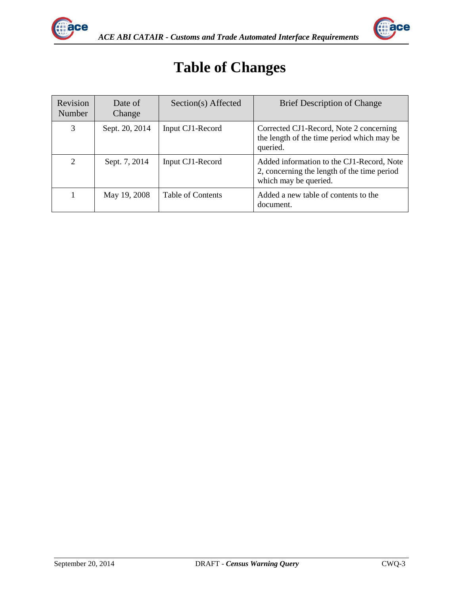

<span id="page-3-0"></span>

## **Table of Changes**

| Revision<br>Number | Date of<br>Change | Section(s) Affected | <b>Brief Description of Change</b>                                                                                |
|--------------------|-------------------|---------------------|-------------------------------------------------------------------------------------------------------------------|
| 3                  | Sept. 20, 2014    | Input CJ1-Record    | Corrected CJ1-Record, Note 2 concerning<br>the length of the time period which may be<br>queried.                 |
| 2                  | Sept. 7, 2014     | Input CJ1-Record    | Added information to the CJ1-Record, Note<br>2, concerning the length of the time period<br>which may be queried. |
|                    | May 19, 2008      | Table of Contents   | Added a new table of contents to the<br>document.                                                                 |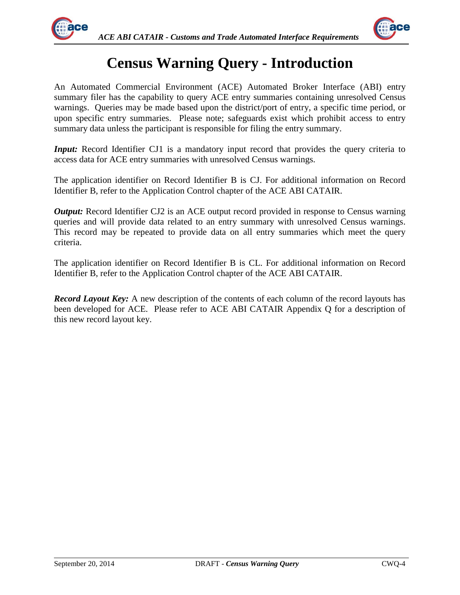

<span id="page-4-0"></span>

## **Census Warning Query - Introduction**

An Automated Commercial Environment (ACE) Automated Broker Interface (ABI) entry summary filer has the capability to query ACE entry summaries containing unresolved Census warnings. Queries may be made based upon the district/port of entry, a specific time period, or upon specific entry summaries. Please note; safeguards exist which prohibit access to entry summary data unless the participant is responsible for filing the entry summary.

*Input:* Record Identifier CJ1 is a mandatory input record that provides the query criteria to access data for ACE entry summaries with unresolved Census warnings.

The application identifier on Record Identifier B is CJ. For additional information on Record Identifier B, refer to the Application Control chapter of the ACE ABI CATAIR.

*Output:* Record Identifier CJ2 is an ACE output record provided in response to Census warning queries and will provide data related to an entry summary with unresolved Census warnings. This record may be repeated to provide data on all entry summaries which meet the query criteria.

The application identifier on Record Identifier B is CL. For additional information on Record Identifier B, refer to the Application Control chapter of the ACE ABI CATAIR.

*Record Layout Key:* A new description of the contents of each column of the record layouts has been developed for ACE. Please refer to ACE ABI CATAIR Appendix Q for a description of this new record layout key.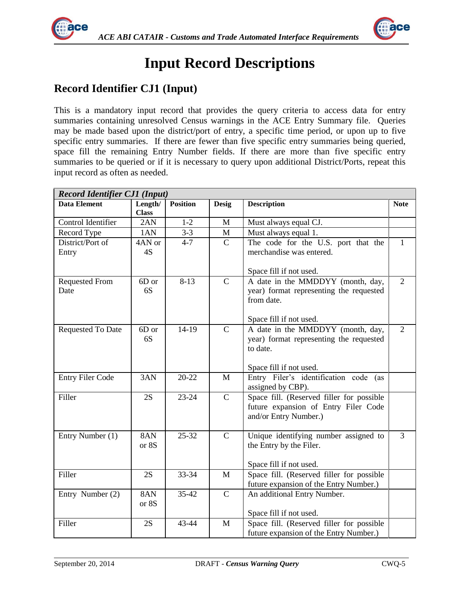

<span id="page-5-0"></span>

## <span id="page-5-1"></span>**Input Record Descriptions**

### **Record Identifier CJ1 (Input)**

This is a mandatory input record that provides the query criteria to access data for entry summaries containing unresolved Census warnings in the ACE Entry Summary file. Queries may be made based upon the district/port of entry, a specific time period, or upon up to five specific entry summaries. If there are fewer than five specific entry summaries being queried, space fill the remaining Entry Number fields. If there are more than five specific entry summaries to be queried or if it is necessary to query upon additional District/Ports, repeat this input record as often as needed.

| <b>Record Identifier CJ1 (Input)</b> |                         |                 |               |                                                                                                                       |                |  |
|--------------------------------------|-------------------------|-----------------|---------------|-----------------------------------------------------------------------------------------------------------------------|----------------|--|
| <b>Data Element</b>                  | Length/<br><b>Class</b> | <b>Position</b> | <b>Desig</b>  | <b>Description</b>                                                                                                    | <b>Note</b>    |  |
| Control Identifier                   | 2AN                     | $1-2$           | $\mathbf M$   | Must always equal CJ.                                                                                                 |                |  |
| Record Type                          | 1AN                     | $3 - 3$         | M             | Must always equal 1.                                                                                                  |                |  |
| District/Port of<br>Entry            | 4AN or<br>4S            | $4 - 7$         | $\mathcal{C}$ | The code for the U.S. port that the<br>merchandise was entered.<br>Space fill if not used.                            | $\mathbf{1}$   |  |
| <b>Requested From</b><br>Date        | 6D or<br>6S             | $8-13$          | $\mathbf C$   | A date in the MMDDYY (month, day,<br>year) format representing the requested<br>from date.<br>Space fill if not used. | $\overline{2}$ |  |
| Requested To Date                    | 6D or<br>6S             | $14-19$         | $\mathsf{C}$  | A date in the MMDDYY (month, day,<br>year) format representing the requested<br>to date.<br>Space fill if not used.   | $\overline{2}$ |  |
| <b>Entry Filer Code</b>              | 3AN                     | $20 - 22$       | M             | Entry Filer's identification code<br>(as<br>assigned by CBP).                                                         |                |  |
| Filler                               | 2S                      | $23 - 24$       | $\mathbf C$   | Space fill. (Reserved filler for possible<br>future expansion of Entry Filer Code<br>and/or Entry Number.)            |                |  |
| Entry Number (1)                     | 8AN<br>or 8S            | $25 - 32$       | $\mathsf{C}$  | Unique identifying number assigned to<br>the Entry by the Filer.<br>Space fill if not used.                           | $\overline{3}$ |  |
| Filler                               | 2S                      | 33-34           | M             | Space fill. (Reserved filler for possible<br>future expansion of the Entry Number.)                                   |                |  |
| Entry Number (2)                     | 8AN<br>or 8S            | 35-42           | $\mathsf{C}$  | An additional Entry Number.<br>Space fill if not used.                                                                |                |  |
| Filler                               | 2S                      | 43-44           | M             | Space fill. (Reserved filler for possible<br>future expansion of the Entry Number.)                                   |                |  |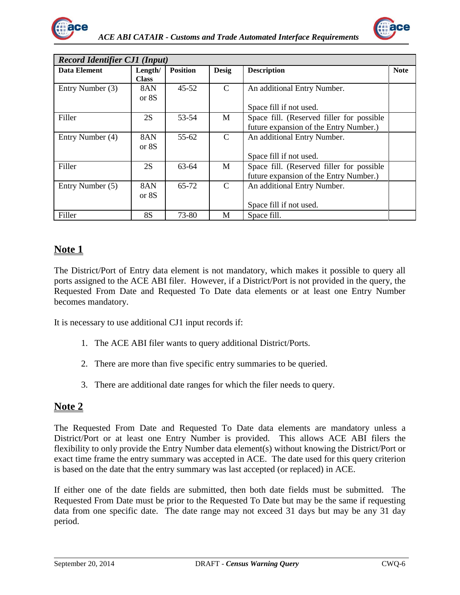



| <b>Record Identifier CJ1 (Input)</b> |              |                 |               |                                           |             |
|--------------------------------------|--------------|-----------------|---------------|-------------------------------------------|-------------|
| Data Element                         | Length/      | <b>Position</b> | <b>Desig</b>  | <b>Description</b>                        | <b>Note</b> |
|                                      | <b>Class</b> |                 |               |                                           |             |
| Entry Number (3)                     | 8AN          | $45 - 52$       | $\mathcal{C}$ | An additional Entry Number.               |             |
|                                      | or 8S        |                 |               |                                           |             |
|                                      |              |                 |               | Space fill if not used.                   |             |
| Filler                               | 2S           | 53-54           | M             | Space fill. (Reserved filler for possible |             |
|                                      |              |                 |               | future expansion of the Entry Number.)    |             |
| Entry Number (4)                     | 8AN          | $55 - 62$       | $\mathcal{C}$ | An additional Entry Number.               |             |
|                                      | or 8S        |                 |               |                                           |             |
|                                      |              |                 |               | Space fill if not used.                   |             |
| Filler                               | 2S           | 63-64           | M             | Space fill. (Reserved filler for possible |             |
|                                      |              |                 |               | future expansion of the Entry Number.)    |             |
| Entry Number (5)                     | 8AN          | 65-72           | $\mathcal{C}$ | An additional Entry Number.               |             |
|                                      | or 8S        |                 |               |                                           |             |
|                                      |              |                 |               | Space fill if not used.                   |             |
| Filler                               | <b>8S</b>    | 73-80           | М             | Space fill.                               |             |

#### **Note 1**

The District/Port of Entry data element is not mandatory, which makes it possible to query all ports assigned to the ACE ABI filer. However, if a District/Port is not provided in the query, the Requested From Date and Requested To Date data elements or at least one Entry Number becomes mandatory.

It is necessary to use additional CJ1 input records if:

- 1. The ACE ABI filer wants to query additional District/Ports.
- 2. There are more than five specific entry summaries to be queried.
- 3. There are additional date ranges for which the filer needs to query.

#### **Note 2**

The Requested From Date and Requested To Date data elements are mandatory unless a District/Port or at least one Entry Number is provided. This allows ACE ABI filers the flexibility to only provide the Entry Number data element(s) without knowing the District/Port or exact time frame the entry summary was accepted in ACE. The date used for this query criterion is based on the date that the entry summary was last accepted (or replaced) in ACE.

If either one of the date fields are submitted, then both date fields must be submitted. The Requested From Date must be prior to the Requested To Date but may be the same if requesting data from one specific date. The date range may not exceed 31 days but may be any 31 day period.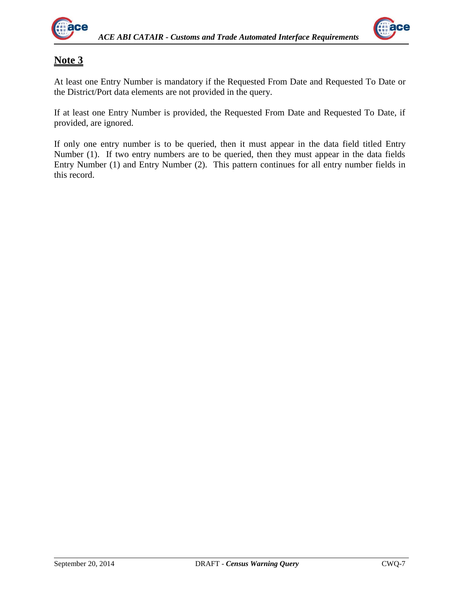



#### **Note 3**

At least one Entry Number is mandatory if the Requested From Date and Requested To Date or the District/Port data elements are not provided in the query.

If at least one Entry Number is provided, the Requested From Date and Requested To Date, if provided, are ignored.

If only one entry number is to be queried, then it must appear in the data field titled Entry Number (1). If two entry numbers are to be queried, then they must appear in the data fields Entry Number (1) and Entry Number (2). This pattern continues for all entry number fields in this record.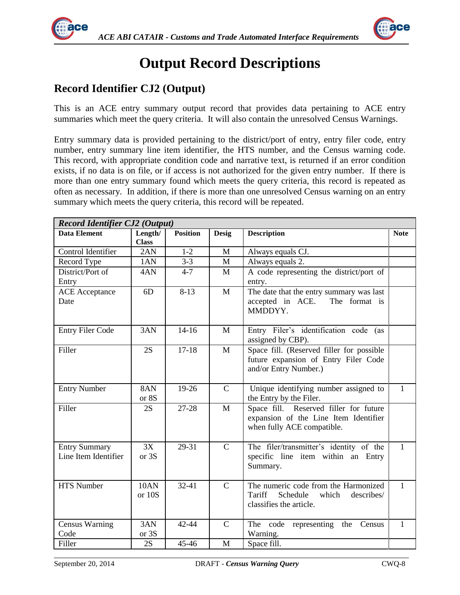

<span id="page-8-0"></span>

## <span id="page-8-1"></span>**Output Record Descriptions**

### **Record Identifier CJ2 (Output)**

This is an ACE entry summary output record that provides data pertaining to ACE entry summaries which meet the query criteria. It will also contain the unresolved Census Warnings.

Entry summary data is provided pertaining to the district/port of entry, entry filer code, entry number, entry summary line item identifier, the HTS number, and the Census warning code. This record, with appropriate condition code and narrative text, is returned if an error condition exists, if no data is on file, or if access is not authorized for the given entry number. If there is more than one entry summary found which meets the query criteria, this record is repeated as often as necessary. In addition, if there is more than one unresolved Census warning on an entry summary which meets the query criteria, this record will be repeated.

| <b>Record Identifier CJ2 (Output)</b>        |                         |                      |               |                                                                                                               |              |  |
|----------------------------------------------|-------------------------|----------------------|---------------|---------------------------------------------------------------------------------------------------------------|--------------|--|
| <b>Data Element</b>                          | Length/<br><b>Class</b> | <b>Position</b>      | <b>Desig</b>  | <b>Description</b>                                                                                            | <b>Note</b>  |  |
| Control Identifier                           | 2AN                     | $1 - 2$              | $\mathbf{M}$  | Always equals CJ.                                                                                             |              |  |
| Record Type                                  | 1AN                     | $3 - 3$              | $\mathbf{M}$  | Always equals 2.                                                                                              |              |  |
| District/Port of                             | 4AN                     | $4 - 7$              | M             | A code representing the district/port of                                                                      |              |  |
| Entry                                        |                         |                      |               | entry.                                                                                                        |              |  |
| <b>ACE</b> Acceptance                        | 6D                      | $8-13$               | M             | The date that the entry summary was last                                                                      |              |  |
| Date                                         |                         |                      |               | accepted in ACE.<br>The format is<br>MMDDYY.                                                                  |              |  |
| <b>Entry Filer Code</b>                      | 3AN                     | $14 - 16$            | M             | Entry Filer's identification code (as<br>assigned by CBP).                                                    |              |  |
| Filler                                       | 2S                      | $17-18$              | M             | Space fill. (Reserved filler for possible<br>future expansion of Entry Filer Code<br>and/or Entry Number.)    |              |  |
| <b>Entry Number</b>                          | 8AN<br>or 8S            | 19-26                | $\mathsf{C}$  | Unique identifying number assigned to<br>the Entry by the Filer.                                              | $\mathbf{1}$ |  |
| Filler                                       | 2S                      | $27 - 28$            | $\mathbf{M}$  | Space fill. Reserved filler for future<br>expansion of the Line Item Identifier<br>when fully ACE compatible. |              |  |
| <b>Entry Summary</b><br>Line Item Identifier | 3X<br>or 3S             | 29-31                | $\mathcal{C}$ | The filer/transmitter's identity of the<br>specific line item within an Entry<br>Summary.                     | $\mathbf{1}$ |  |
| <b>HTS Number</b>                            | <b>10AN</b><br>or 10S   | $32 - 41$            | $\mathbf C$   | The numeric code from the Harmonized<br>Tariff<br>Schedule<br>which<br>describes/<br>classifies the article.  | $\mathbf{1}$ |  |
| <b>Census Warning</b><br>Code                | 3AN<br>or 3S            | $\overline{42} - 44$ | $\mathbf C$   | The code<br>Census<br>representing<br>the<br>Warning.                                                         | $\mathbf{1}$ |  |
| Filler                                       | 2S                      | $45 - 46$            | M             | Space fill.                                                                                                   |              |  |
|                                              |                         |                      |               |                                                                                                               |              |  |